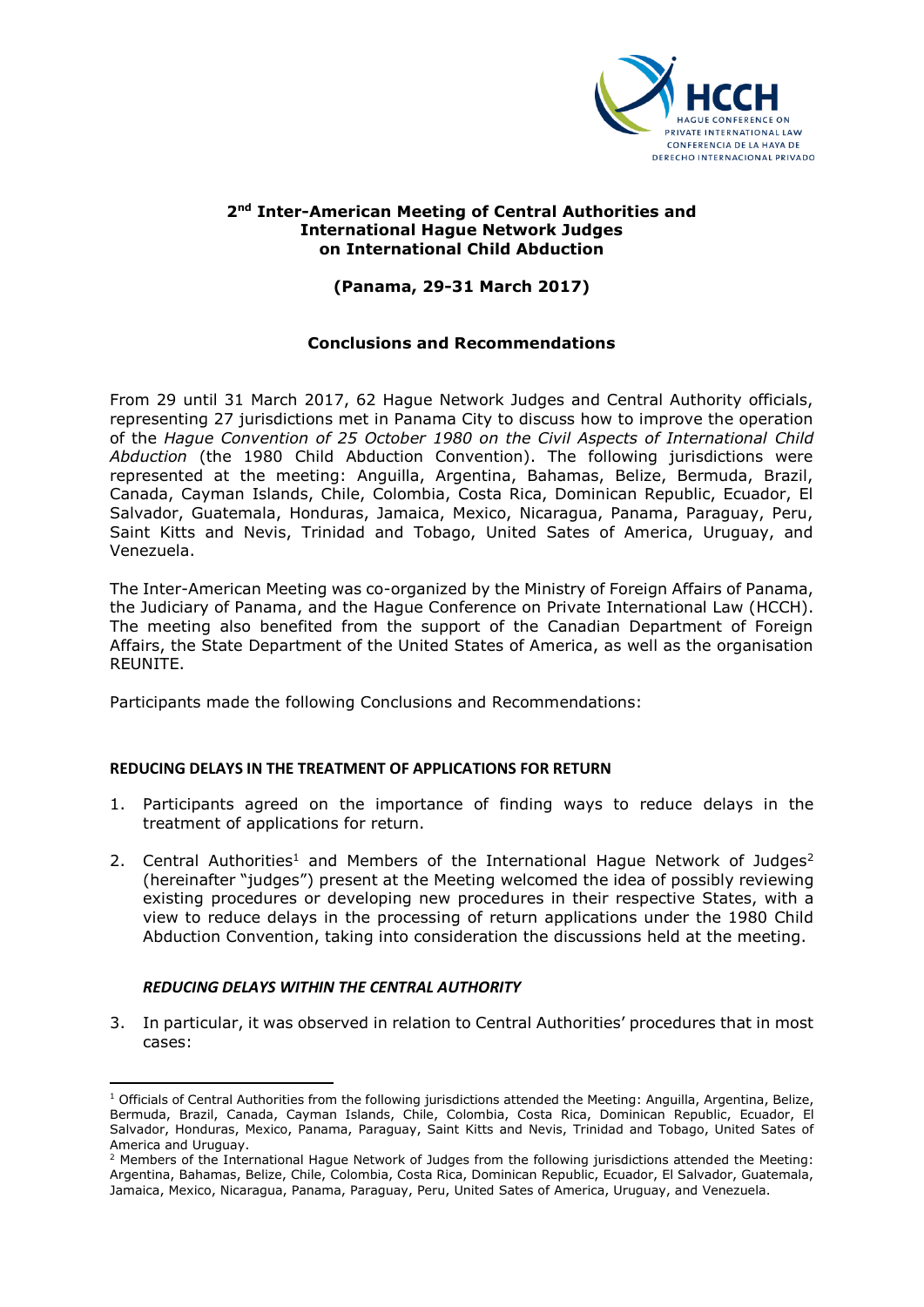

### **2nd Inter-American Meeting of Central Authorities and International Hague Network Judges on International Child Abduction**

# **(Panama, 29-31 March 2017)**

## **Conclusions and Recommendations**

From 29 until 31 March 2017, 62 Hague Network Judges and Central Authority officials, representing 27 jurisdictions met in Panama City to discuss how to improve the operation of the *Hague Convention of 25 October 1980 on the Civil Aspects of International Child Abduction* (the 1980 Child Abduction Convention). The following jurisdictions were represented at the meeting: Anguilla, Argentina, Bahamas, Belize, Bermuda, Brazil, Canada, Cayman Islands, Chile, Colombia, Costa Rica, Dominican Republic, Ecuador, El Salvador, Guatemala, Honduras, Jamaica, Mexico, Nicaragua, Panama, Paraguay, Peru, Saint Kitts and Nevis, Trinidad and Tobago, United Sates of America, Uruguay, and Venezuela.

The Inter-American Meeting was co-organized by the Ministry of Foreign Affairs of Panama, the Judiciary of Panama, and the Hague Conference on Private International Law (HCCH). The meeting also benefited from the support of the Canadian Department of Foreign Affairs, the State Department of the United States of America, as well as the organisation REUNITE.

Participants made the following Conclusions and Recommendations:

### **REDUCING DELAYS IN THE TREATMENT OF APPLICATIONS FOR RETURN**

- 1. Participants agreed on the importance of finding ways to reduce delays in the treatment of applications for return.
- 2. Central Authorities<sup>1</sup> and Members of the International Hague Network of Judges<sup>2</sup> (hereinafter "judges") present at the Meeting welcomed the idea of possibly reviewing existing procedures or developing new procedures in their respective States, with a view to reduce delays in the processing of return applications under the 1980 Child Abduction Convention, taking into consideration the discussions held at the meeting.

### *REDUCING DELAYS WITHIN THE CENTRAL AUTHORITY*

**.** 

3. In particular, it was observed in relation to Central Authorities' procedures that in most cases:

 $1$  Officials of Central Authorities from the following jurisdictions attended the Meeting: Anguilla, Argentina, Belize, Bermuda, Brazil, Canada, Cayman Islands, Chile, Colombia, Costa Rica, Dominican Republic, Ecuador, El Salvador, Honduras, Mexico, Panama, Paraguay, Saint Kitts and Nevis, Trinidad and Tobago, United Sates of America and Uruguay.

<sup>&</sup>lt;sup>2</sup> Members of the International Hague Network of Judges from the following jurisdictions attended the Meeting: Argentina, Bahamas, Belize, Chile, Colombia, Costa Rica, Dominican Republic, Ecuador, El Salvador, Guatemala, Jamaica, Mexico, Nicaragua, Panama, Paraguay, Peru, United Sates of America, Uruguay, and Venezuela.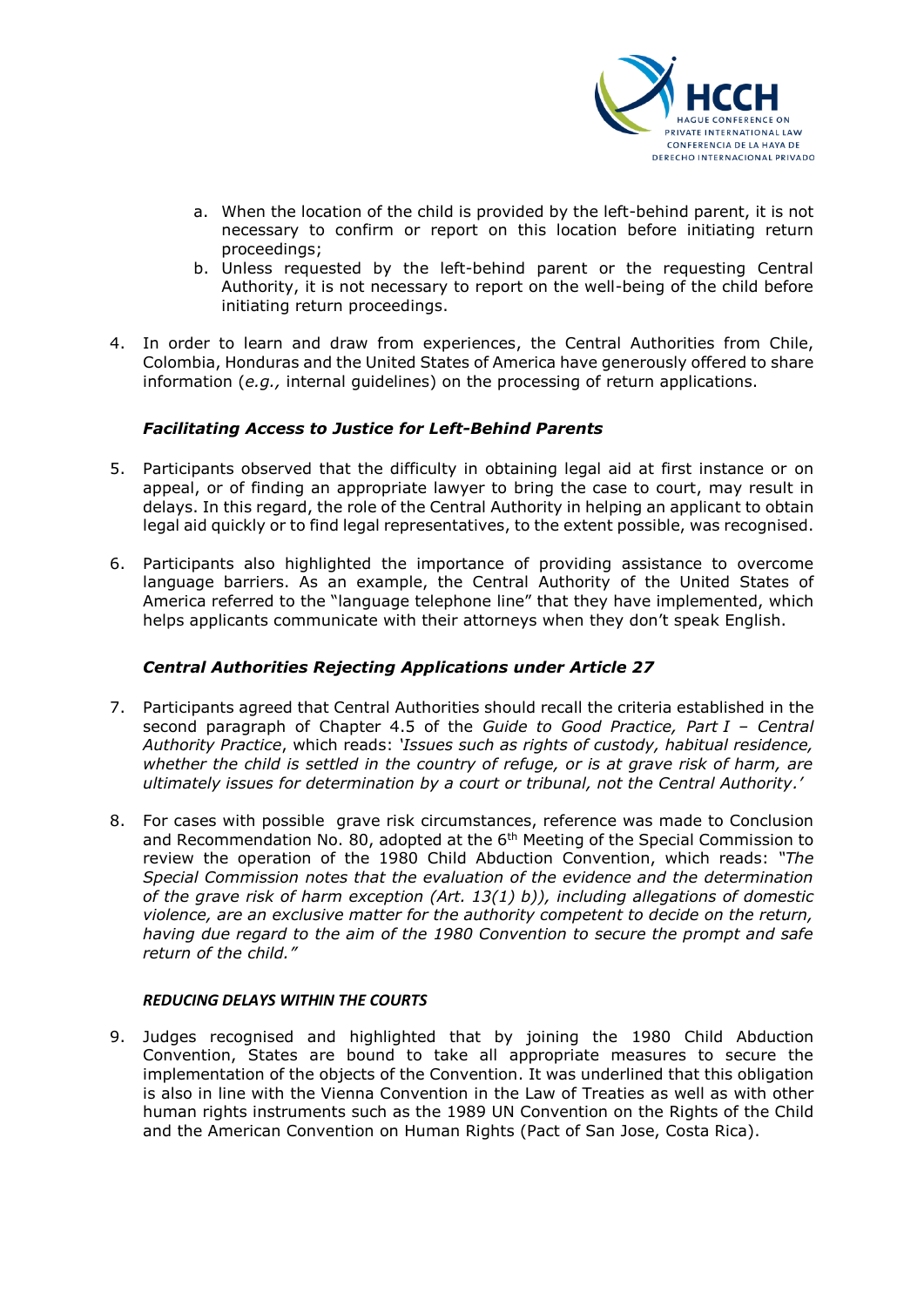

- a. When the location of the child is provided by the left-behind parent, it is not necessary to confirm or report on this location before initiating return proceedings;
- b. Unless requested by the left-behind parent or the requesting Central Authority, it is not necessary to report on the well-being of the child before initiating return proceedings.
- 4. In order to learn and draw from experiences, the Central Authorities from Chile, Colombia, Honduras and the United States of America have generously offered to share information (*e.g.,* internal guidelines) on the processing of return applications.

## *Facilitating Access to Justice for Left-Behind Parents*

- 5. Participants observed that the difficulty in obtaining legal aid at first instance or on appeal, or of finding an appropriate lawyer to bring the case to court, may result in delays. In this regard, the role of the Central Authority in helping an applicant to obtain legal aid quickly or to find legal representatives, to the extent possible, was recognised.
- 6. Participants also highlighted the importance of providing assistance to overcome language barriers. As an example, the Central Authority of the United States of America referred to the "language telephone line" that they have implemented, which helps applicants communicate with their attorneys when they don't speak English.

### *Central Authorities Rejecting Applications under Article 27*

- 7. Participants agreed that Central Authorities should recall the criteria established in the second paragraph of Chapter 4.5 of the *Guide to Good Practice, Part I – Central Authority Practice*, which reads: *'Issues such as rights of custody, habitual residence, whether the child is settled in the country of refuge, or is at grave risk of harm, are ultimately issues for determination by a court or tribunal, not the Central Authority.'*
- 8. For cases with possible grave risk circumstances, reference was made to Conclusion and Recommendation No. 80, adopted at the 6<sup>th</sup> Meeting of the Special Commission to review the operation of the 1980 Child Abduction Convention, which reads: *"The Special Commission notes that the evaluation of the evidence and the determination of the grave risk of harm exception (Art. 13(1) b)), including allegations of domestic violence, are an exclusive matter for the authority competent to decide on the return, having due regard to the aim of the 1980 Convention to secure the prompt and safe return of the child."*

### *REDUCING DELAYS WITHIN THE COURTS*

9. Judges recognised and highlighted that by joining the 1980 Child Abduction Convention, States are bound to take all appropriate measures to secure the implementation of the objects of the Convention. It was underlined that this obligation is also in line with the Vienna Convention in the Law of Treaties as well as with other human rights instruments such as the 1989 UN Convention on the Rights of the Child and the American Convention on Human Rights (Pact of San Jose, Costa Rica).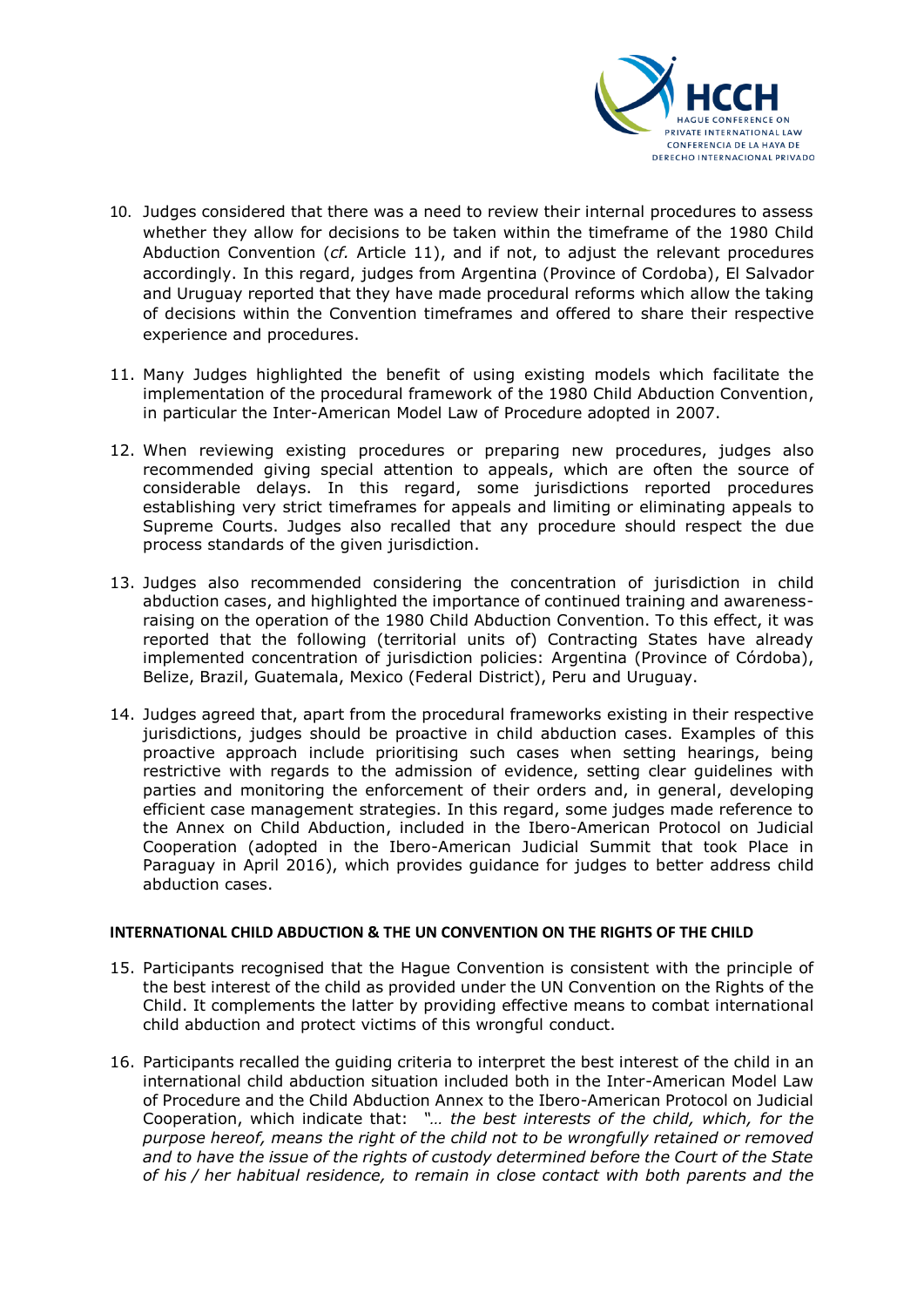

- 10. Judges considered that there was a need to review their internal procedures to assess whether they allow for decisions to be taken within the timeframe of the 1980 Child Abduction Convention (*cf.* Article 11), and if not, to adjust the relevant procedures accordingly. In this regard, judges from Argentina (Province of Cordoba), El Salvador and Uruguay reported that they have made procedural reforms which allow the taking of decisions within the Convention timeframes and offered to share their respective experience and procedures.
- 11. Many Judges highlighted the benefit of using existing models which facilitate the implementation of the procedural framework of the 1980 Child Abduction Convention, in particular the Inter-American Model Law of Procedure adopted in 2007.
- 12. When reviewing existing procedures or preparing new procedures, judges also recommended giving special attention to appeals, which are often the source of considerable delays. In this regard, some jurisdictions reported procedures establishing very strict timeframes for appeals and limiting or eliminating appeals to Supreme Courts. Judges also recalled that any procedure should respect the due process standards of the given jurisdiction.
- 13. Judges also recommended considering the concentration of jurisdiction in child abduction cases, and highlighted the importance of continued training and awarenessraising on the operation of the 1980 Child Abduction Convention. To this effect, it was reported that the following (territorial units of) Contracting States have already implemented concentration of jurisdiction policies: Argentina (Province of Córdoba), Belize, Brazil, Guatemala, Mexico (Federal District), Peru and Uruguay.
- 14. Judges agreed that, apart from the procedural frameworks existing in their respective jurisdictions, judges should be proactive in child abduction cases. Examples of this proactive approach include prioritising such cases when setting hearings, being restrictive with regards to the admission of evidence, setting clear guidelines with parties and monitoring the enforcement of their orders and, in general, developing efficient case management strategies. In this regard, some judges made reference to the Annex on Child Abduction, included in the Ibero-American Protocol on Judicial Cooperation (adopted in the Ibero-American Judicial Summit that took Place in Paraguay in April 2016), which provides guidance for judges to better address child abduction cases.

### **INTERNATIONAL CHILD ABDUCTION & THE UN CONVENTION ON THE RIGHTS OF THE CHILD**

- 15. Participants recognised that the Hague Convention is consistent with the principle of the best interest of the child as provided under the UN Convention on the Rights of the Child. It complements the latter by providing effective means to combat international child abduction and protect victims of this wrongful conduct.
- 16. Participants recalled the guiding criteria to interpret the best interest of the child in an international child abduction situation included both in the Inter-American Model Law of Procedure and the Child Abduction Annex to the Ibero-American Protocol on Judicial Cooperation, which indicate that: *"… the best interests of the child, which, for the purpose hereof, means the right of the child not to be wrongfully retained or removed and to have the issue of the rights of custody determined before the Court of the State of his / her habitual residence, to remain in close contact with both parents and the*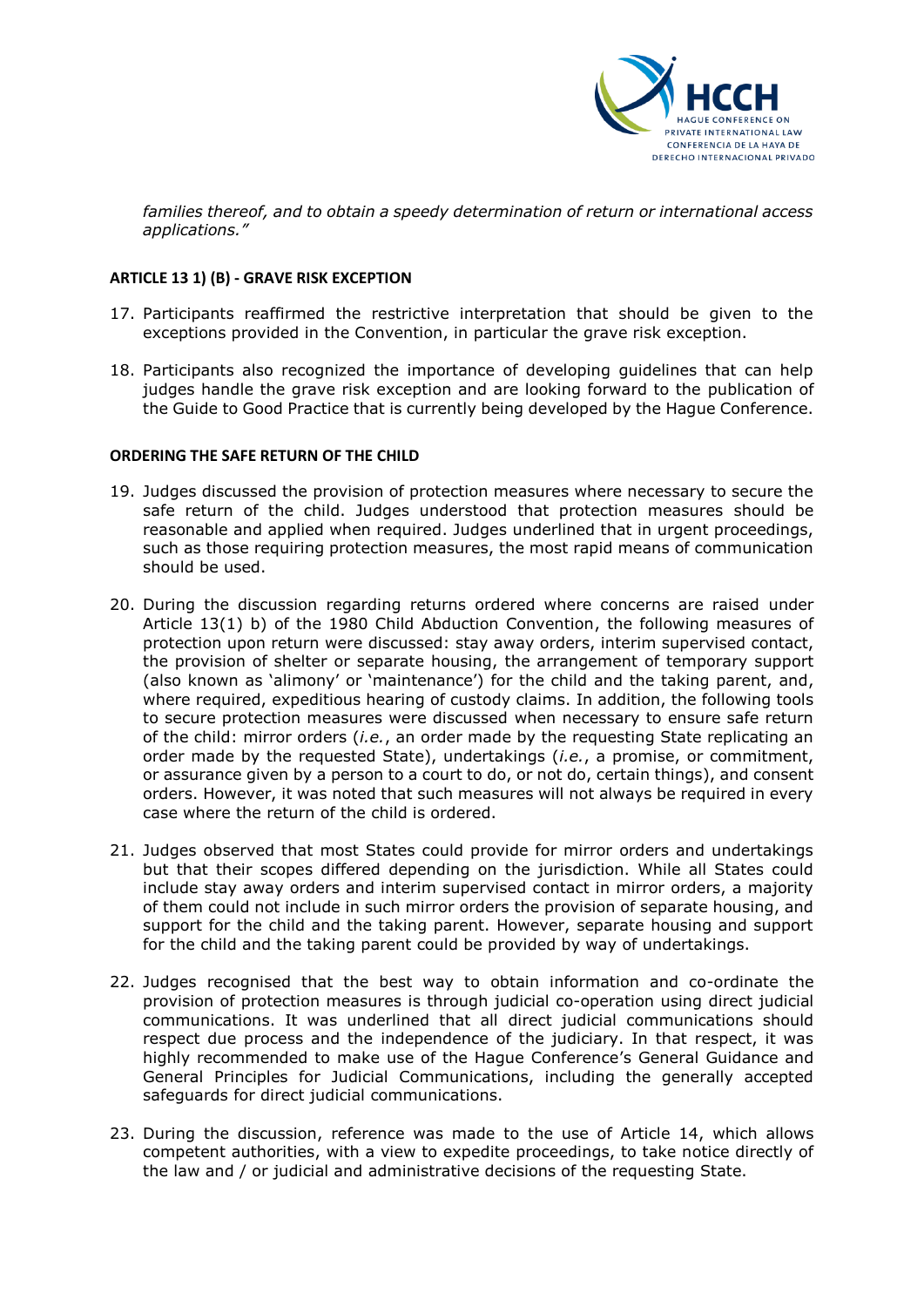

*families thereof, and to obtain a speedy determination of return or international access applications."*

### **ARTICLE 13 1) (B) - GRAVE RISK EXCEPTION**

- 17. Participants reaffirmed the restrictive interpretation that should be given to the exceptions provided in the Convention, in particular the grave risk exception.
- 18. Participants also recognized the importance of developing guidelines that can help judges handle the grave risk exception and are looking forward to the publication of the Guide to Good Practice that is currently being developed by the Hague Conference.

### **ORDERING THE SAFE RETURN OF THE CHILD**

- 19. Judges discussed the provision of protection measures where necessary to secure the safe return of the child. Judges understood that protection measures should be reasonable and applied when required. Judges underlined that in urgent proceedings, such as those requiring protection measures, the most rapid means of communication should be used.
- 20. During the discussion regarding returns ordered where concerns are raised under Article 13(1) b) of the 1980 Child Abduction Convention, the following measures of protection upon return were discussed: stay away orders, interim supervised contact, the provision of shelter or separate housing, the arrangement of temporary support (also known as 'alimony' or 'maintenance') for the child and the taking parent, and, where required, expeditious hearing of custody claims. In addition, the following tools to secure protection measures were discussed when necessary to ensure safe return of the child: mirror orders (*i.e.*, an order made by the requesting State replicating an order made by the requested State), undertakings (*i.e.*, a promise, or commitment, or assurance given by a person to a court to do, or not do, certain things), and consent orders. However, it was noted that such measures will not always be required in every case where the return of the child is ordered.
- 21. Judges observed that most States could provide for mirror orders and undertakings but that their scopes differed depending on the jurisdiction. While all States could include stay away orders and interim supervised contact in mirror orders, a majority of them could not include in such mirror orders the provision of separate housing, and support for the child and the taking parent. However, separate housing and support for the child and the taking parent could be provided by way of undertakings.
- 22. Judges recognised that the best way to obtain information and co-ordinate the provision of protection measures is through judicial co-operation using direct judicial communications. It was underlined that all direct judicial communications should respect due process and the independence of the judiciary. In that respect, it was highly recommended to make use of the Hague Conference's General Guidance and General Principles for Judicial Communications, including the generally accepted safeguards for direct judicial communications.
- 23. During the discussion, reference was made to the use of Article 14, which allows competent authorities, with a view to expedite proceedings, to take notice directly of the law and / or judicial and administrative decisions of the requesting State.